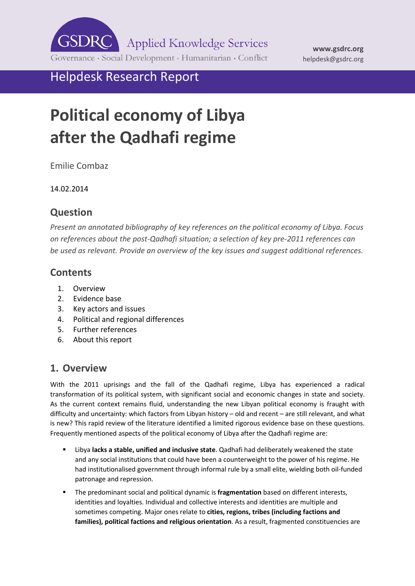

Governance · Social Development · Humanitarian · Conflict

Helpdesk Research Report

# **Political economy of Libya after the Qadhafi regime**

Emilie Combaz

14.02.2014

# **Question**

*Present an annotated bibliography of key references on the political economy of Libya. Focus on references about the post-Qadhafi situation; a selection of key pre-2011 references can be used as relevant. Provide an overview of the key issues and suggest additional references.*

# **Contents**

- 1. [Overview](#page-0-0)
- 2. [Evidence base](#page-1-0)
- 3. [Key actors and issues](#page-2-0)
- 4. [Political and regional differences](#page-7-0)
- 5. [Further references](#page-10-0)
- <span id="page-0-0"></span>6. [About this report](#page-12-0)

# **1. Overview**

With the 2011 uprisings and the fall of the Qadhafi regime, Libya has experienced a radical transformation of its political system, with significant social and economic changes in state and society. As the current context remains fluid, understanding the new Libyan political economy is fraught with difficulty and uncertainty: which factors from Libyan history – old and recent – are still relevant, and what is new? This rapid review of the literature identified a limited rigorous evidence base on these questions. Frequently mentioned aspects of the political economy of Libya after the Qadhafi regime are:

- Libya **lacks a stable, unified and inclusive state**. Qadhafi had deliberately weakened the state and any social institutions that could have been a counterweight to the power of his regime. He had institutionalised government through informal rule by a small elite, wielding both oil-funded patronage and repression.
- The predominant social and political dynamic is **fragmentation** based on different interests, identities and loyalties. Individual and collective interests and identities are multiple and sometimes competing. Major ones relate to **cities, regions, tribes (including factions and families), political factions and religious orientation**. As a result, fragmented constituencies are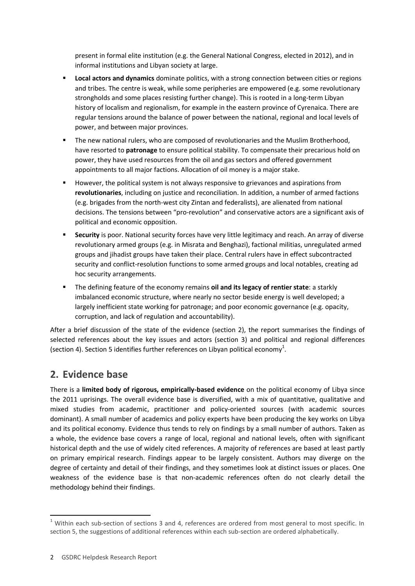present in formal elite institution (e.g. the General National Congress, elected in 2012), and in informal institutions and Libyan society at large.

- **Local actors and dynamics** dominate politics, with a strong connection between cities or regions and tribes. The centre is weak, while some peripheries are empowered (e.g. some revolutionary strongholds and some places resisting further change). This is rooted in a long-term Libyan history of localism and regionalism, for example in the eastern province of Cyrenaica. There are regular tensions around the balance of power between the national, regional and local levels of power, and between major provinces.
- The new national rulers, who are composed of revolutionaries and the Muslim Brotherhood, have resorted to **patronage** to ensure political stability. To compensate their precarious hold on power, they have used resources from the oil and gas sectors and offered government appointments to all major factions. Allocation of oil money is a major stake.
- **However, the political system is not always responsive to grievances and aspirations from revolutionaries**, including on justice and reconciliation. In addition, a number of armed factions (e.g. brigades from the north-west city Zintan and federalists), are alienated from national decisions. The tensions between "pro-revolution" and conservative actors are a significant axis of political and economic opposition.
- **Security** is poor. National security forces have very little legitimacy and reach. An array of diverse revolutionary armed groups (e.g. in Misrata and Benghazi), factional militias, unregulated armed groups and jihadist groups have taken their place. Central rulers have in effect subcontracted security and conflict-resolution functions to some armed groups and local notables, creating ad hoc security arrangements.
- The defining feature of the economy remains **oil and its legacy of rentier state**: a starkly imbalanced economic structure, where nearly no sector beside energy is well developed; a largely inefficient state working for patronage; and poor economic governance (e.g. opacity, corruption, and lack of regulation and accountability).

After a brief discussion of the state of the evidence (section 2), the report summarises the findings of selected references about the key issues and actors (section 3) and political and regional differences (section 4). Section 5 identifies further references on Libyan political economy<sup>1</sup>.

# <span id="page-1-0"></span>**2. Evidence base**

There is a **limited body of rigorous, empirically-based evidence** on the political economy of Libya since the 2011 uprisings. The overall evidence base is diversified, with a mix of quantitative, qualitative and mixed studies from academic, practitioner and policy-oriented sources (with academic sources dominant). A small number of academics and policy experts have been producing the key works on Libya and its political economy. Evidence thus tends to rely on findings by a small number of authors. Taken as a whole, the evidence base covers a range of local, regional and national levels, often with significant historical depth and the use of widely cited references. A majority of references are based at least partly on primary empirical research. Findings appear to be largely consistent. Authors may diverge on the degree of certainty and detail of their findings, and they sometimes look at distinct issues or places. One weakness of the evidence base is that non-academic references often do not clearly detail the methodology behind their findings.

-

 $1$  Within each sub-section of sections 3 and 4, references are ordered from most general to most specific. In section 5, the suggestions of additional references within each sub-section are ordered alphabetically.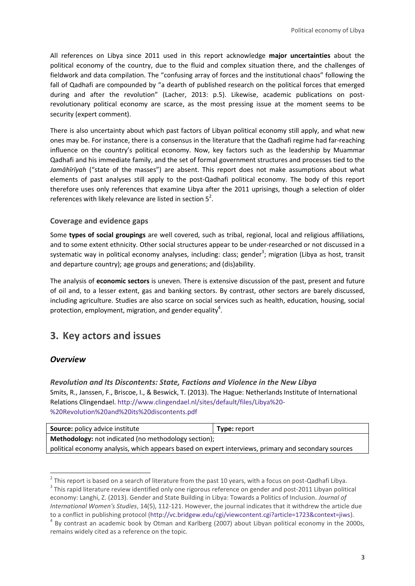All references on Libya since 2011 used in this report acknowledge **major uncertainties** about the political economy of the country, due to the fluid and complex situation there, and the challenges of fieldwork and data compilation. The "confusing array of forces and the institutional chaos" following the fall of Qadhafi are compounded by "a dearth of published research on the political forces that emerged during and after the revolution" (Lacher, 2013: p.5). Likewise, academic publications on postrevolutionary political economy are scarce, as the most pressing issue at the moment seems to be security (expert comment).

There is also uncertainty about which past factors of Libyan political economy still apply, and what new ones may be. For instance, there is a consensus in the literature that the Qadhafi regime had far-reaching influence on the country's political economy. Now, key factors such as the leadership by Muammar Qadhafi and his immediate family, and the set of formal government structures and processes tied to the *Jamāhīrīyah* ("state of the masses") are absent. This report does not make assumptions about what elements of past analyses still apply to the post-Qadhafi political economy. The body of this report therefore uses only references that examine Libya after the 2011 uprisings, though a selection of older references with likely relevance are listed in section  $5^2$ .

#### **Coverage and evidence gaps**

Some **types of social groupings** are well covered, such as tribal, regional, local and religious affiliations, and to some extent ethnicity. Other social structures appear to be under-researched or not discussed in a systematic way in political economy analyses, including: class; gender<sup>3</sup>; migration (Libya as host, transit and departure country); age groups and generations; and (dis)ability.

The analysis of **economic sectors** is uneven. There is extensive discussion of the past, present and future of oil and, to a lesser extent, gas and banking sectors. By contrast, other sectors are barely discussed, including agriculture. Studies are also scarce on social services such as health, education, housing, social protection, employment, migration, and gender equality<sup>4</sup>.

# <span id="page-2-0"></span>**3. Key actors and issues**

#### *Overview*

-

*Revolution and Its Discontents: State, Factions and Violence in the New Libya* Smits, R., Janssen, F., Briscoe, I., & Beswick, T. (2013). The Hague: Netherlands Institute of International Relations Clingendael. [http://www.clingendael.nl/sites/default/files/Libya%20-](http://www.clingendael.nl/sites/default/files/Libya%20-%20Revolution%20and%20its%20discontents.pdf) [%20Revolution%20and%20its%20discontents.pdf](http://www.clingendael.nl/sites/default/files/Libya%20-%20Revolution%20and%20its%20discontents.pdf)

| <b>Source:</b> policy advice institute                                                              | <b>Type:</b> report |
|-----------------------------------------------------------------------------------------------------|---------------------|
| <b>Methodology:</b> not indicated (no methodology section);                                         |                     |
| political economy analysis, which appears based on expert interviews, primary and secondary sources |                     |

 $2$  This report is based on a search of literature from the past 10 years, with a focus on post-Qadhafi Libya.  $3$  This rapid literature review identified only one rigorous reference on gender and post-2011 Libyan political economy: Langhi, Z. (2013). Gender and State Building in Libya: Towards a Politics of Inclusion. *Journal of International Women's Studies*, 14(5), 112-121. However, the journal indicates that it withdrew the article due to a conflict in publishing protocol [\(http://vc.bridgew.edu/cgi/viewcontent.cgi?article=1723&context=jiws\)](http://vc.bridgew.edu/cgi/viewcontent.cgi?article=1723&context=jiws).

<sup>&</sup>lt;sup>4</sup> By contrast an academic book by Otman and Karlberg (2007) about Libyan political economy in the 2000s, remains widely cited as a reference on the topic.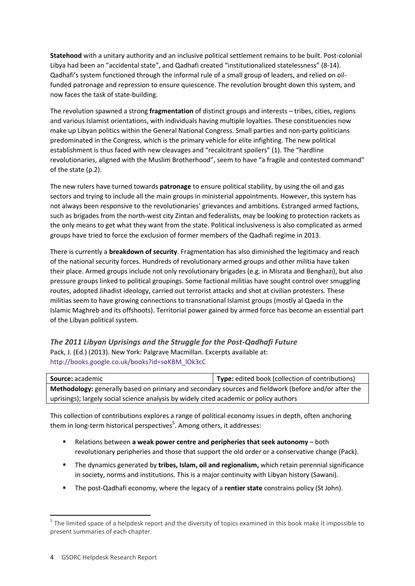**Statehood** with a unitary authority and an inclusive political settlement remains to be built. Post-colonial Libya had been an "accidental state", and Qadhafi created "institutionalized statelessness" (8-14). Qadhafi's system functioned through the informal rule of a small group of leaders, and relied on oilfunded patronage and repression to ensure quiescence. The revolution brought down this system, and now faces the task of state-building.

The revolution spawned a strong **fragmentation** of distinct groups and interests – tribes, cities, regions and various Islamist orientations, with individuals having multiple loyalties. These constituencies now make up Libyan politics within the General National Congress. Small parties and non-party politicians predominated in the Congress, which is the primary vehicle for elite infighting. The new political establishment is thus faced with new cleavages and "recalcitrant spoilers" (1). The "hardline revolutionaries, aligned with the Muslim Brotherhood", seem to have "a fragile and contested command" of the state (p.2).

The new rulers have turned towards **patronage** to ensure political stability, by using the oil and gas sectors and trying to include all the main groups in ministerial appointments. However, this system has not always been responsive to the revolutionaries' grievances and ambitions. Estranged armed factions, such as brigades from the north-west city Zintan and federalists, may be looking to protection rackets as the only means to get what they want from the state. Political inclusiveness is also complicated as armed groups have tried to force the exclusion of former members of the Qadhafi regime in 2013.

There is currently a **breakdown of security**. Fragmentation has also diminished the legitimacy and reach of the national security forces. Hundreds of revolutionary armed groups and other militia have taken their place. Armed groups include not only revolutionary brigades (e.g. in Misrata and Benghazi), but also pressure groups linked to political groupings. Some factional militias have sought control over smuggling routes, adopted Jihadist ideology, carried out terrorist attacks and shot at civilian protesters. These militias seem to have growing connections to transnational Islamist groups (mostly al Qaeda in the Islamic Maghreb and its offshoots). Territorial power gained by armed force has become an essential part of the Libyan political system.

### *The 2011 Libyan Uprisings and the Struggle for the Post-Qadhafi Future* Pack, J. (Ed.) (2013). New York: Palgrave Macmillan. Excerpts available at: [http://books.google.co.uk/books?id=soKBM\\_lOk3cC](http://books.google.co.uk/books?id=soKBM_lOk3cC)

| <b>Source:</b> academic                                                                              | Type: edited book (collection of contributions) |
|------------------------------------------------------------------------------------------------------|-------------------------------------------------|
| Methodology: generally based on primary and secondary sources and fieldwork (before and/or after the |                                                 |
| uprisings); largely social science analysis by widely cited academic or policy authors               |                                                 |

This collection of contributions explores a range of political economy issues in depth, often anchoring them in long-term historical perspectives<sup>5</sup>. Among others, it addresses:

- Relations between **a weak power centre and peripheries that seek autonomy** both revolutionary peripheries and those that support the old order or a conservative change (Pack).
- The dynamics generated by **tribes, Islam, oil and regionalism,** which retain perennial significance in society, norms and institutions. This is a major continuity with Libyan history (Sawani).
- The post-Qadhafi economy, where the legacy of a **rentier state** constrains policy (St John).

-

<sup>&</sup>lt;sup>5</sup> The limited space of a helpdesk report and the diversity of topics examined in this book make it impossible to present summaries of each chapter.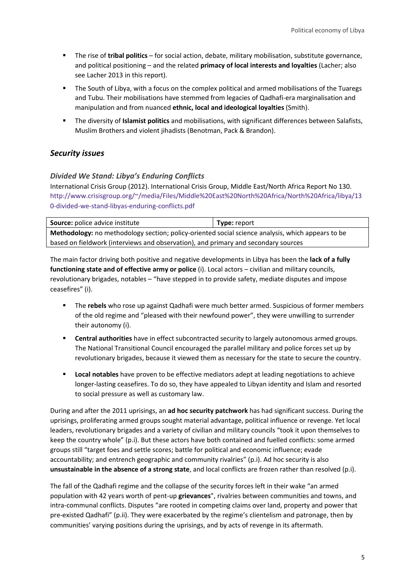- The rise of **tribal politics** for social action, debate, military mobilisation, substitute governance, and political positioning – and the related **primacy of local interests and loyalties** (Lacher; also see Lacher 2013 in this report).
- The South of Libya, with a focus on the complex political and armed mobilisations of the Tuaregs and Tubu. Their mobilisations have stemmed from legacies of Qadhafi-era marginalisation and manipulation and from nuanced **ethnic, local and ideological loyalties** (Smith).
- The diversity of **Islamist politics** and mobilisations, with significant differences between Salafists, Muslim Brothers and violent jihadists (Benotman, Pack & Brandon).

### *Security issues*

#### *Divided We Stand: Libya's Enduring Conflicts*

International Crisis Group (2012). International Crisis Group, Middle East/North Africa Report No 130. [http://www.crisisgroup.org/~/media/Files/Middle%20East%20North%20Africa/North%20Africa/libya/13](http://www.crisisgroup.org/~/media/Files/Middle%20East%20North%20Africa/North%20Africa/libya/130-divided-we-stand-libyas-enduring-conflicts.pdf) [0-divided-we-stand-libyas-enduring-conflicts.pdf](http://www.crisisgroup.org/~/media/Files/Middle%20East%20North%20Africa/North%20Africa/libya/130-divided-we-stand-libyas-enduring-conflicts.pdf)

| <b>Source:</b> police advice institute                                                            | <b>Type:</b> report |
|---------------------------------------------------------------------------------------------------|---------------------|
| Methodology: no methodology section; policy-oriented social science analysis, which appears to be |                     |
| based on fieldwork (interviews and observation), and primary and secondary sources                |                     |

The main factor driving both positive and negative developments in Libya has been the **lack of a fully functioning state and of effective army or police** (i). Local actors – civilian and military councils, revolutionary brigades, notables – "have stepped in to provide safety, mediate disputes and impose ceasefires" (i).

- The **rebels** who rose up against Qadhafi were much better armed. Suspicious of former members of the old regime and "pleased with their newfound power", they were unwilling to surrender their autonomy (i).
- **Central authorities** have in effect subcontracted security to largely autonomous armed groups. The National Transitional Council encouraged the parallel military and police forces set up by revolutionary brigades, because it viewed them as necessary for the state to secure the country.
- **Local notables** have proven to be effective mediators adept at leading negotiations to achieve longer-lasting ceasefires. To do so, they have appealed to Libyan identity and Islam and resorted to social pressure as well as customary law.

During and after the 2011 uprisings, an **ad hoc security patchwork** has had significant success. During the uprisings, proliferating armed groups sought material advantage, political influence or revenge. Yet local leaders, revolutionary brigades and a variety of civilian and military councils "took it upon themselves to keep the country whole" (p.i). But these actors have both contained and fuelled conflicts: some armed groups still "target foes and settle scores; battle for political and economic influence; evade accountability; and entrench geographic and community rivalries" (p.i). Ad hoc security is also **unsustainable in the absence of a strong state**, and local conflicts are frozen rather than resolved (p.i).

The fall of the Qadhafi regime and the collapse of the security forces left in their wake "an armed population with 42 years worth of pent-up **grievances**", rivalries between communities and towns, and intra-communal conflicts. Disputes "are rooted in competing claims over land, property and power that pre-existed Qadhafi" (p.ii). They were exacerbated by the regime's clientelism and patronage, then by communities' varying positions during the uprisings, and by acts of revenge in its aftermath.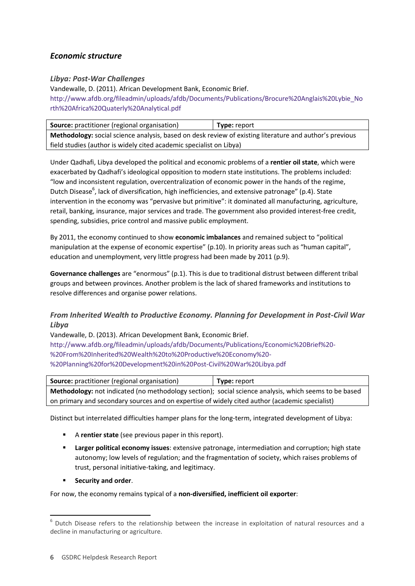### *Economic structure*

#### *Libya: Post-War Challenges*

Vandewalle, D. (2011). African Development Bank, Economic Brief.

[http://www.afdb.org/fileadmin/uploads/afdb/Documents/Publications/Brocure%20Anglais%20Lybie\\_No](http://www.afdb.org/fileadmin/uploads/afdb/Documents/Publications/Brocure%20Anglais%20Lybie_North%20Africa%20Quaterly%20Analytical.pdf) [rth%20Africa%20Quaterly%20Analytical.pdf](http://www.afdb.org/fileadmin/uploads/afdb/Documents/Publications/Brocure%20Anglais%20Lybie_North%20Africa%20Quaterly%20Analytical.pdf)

| <b>Source:</b> practitioner (regional organisation)                                                     | <b>Type:</b> report |
|---------------------------------------------------------------------------------------------------------|---------------------|
| Methodology: social science analysis, based on desk review of existing literature and author's previous |                     |
| field studies (author is widely cited academic specialist on Libya)                                     |                     |

Under Qadhafi, Libya developed the political and economic problems of a **rentier oil state**, which were exacerbated by Qadhafi's ideological opposition to modern state institutions. The problems included: "low and inconsistent regulation, overcentralization of economic power in the hands of the regime, Dutch Disease<sup>6</sup>, lack of diversification, high inefficiencies, and extensive patronage" (p.4). State intervention in the economy was "pervasive but primitive": it dominated all manufacturing, agriculture, retail, banking, insurance, major services and trade. The government also provided interest-free credit, spending, subsidies, price control and massive public employment.

By 2011, the economy continued to show **economic imbalances** and remained subject to "political manipulation at the expense of economic expertise" (p.10). In priority areas such as "human capital", education and unemployment, very little progress had been made by 2011 (p.9).

**Governance challenges** are "enormous" (p.1). This is due to traditional distrust between different tribal groups and between provinces. Another problem is the lack of shared frameworks and institutions to resolve differences and organise power relations.

### *From Inherited Wealth to Productive Economy. Planning for Development in Post-Civil War Libya*

Vandewalle, D. (2013). African Development Bank, Economic Brief. [http://www.afdb.org/fileadmin/uploads/afdb/Documents/Publications/Economic%20Brief%20-](http://www.afdb.org/fileadmin/uploads/afdb/Documents/Publications/Economic%20Brief%20-%20From%20Inherited%20Wealth%20to%20Productive%20Economy%20-%20Planning%20for%20Development%20in%20Post-Civil%20War%20Libya.pdf) [%20From%20Inherited%20Wealth%20to%20Productive%20Economy%20-](http://www.afdb.org/fileadmin/uploads/afdb/Documents/Publications/Economic%20Brief%20-%20From%20Inherited%20Wealth%20to%20Productive%20Economy%20-%20Planning%20for%20Development%20in%20Post-Civil%20War%20Libya.pdf) [%20Planning%20for%20Development%20in%20Post-Civil%20War%20Libya.pdf](http://www.afdb.org/fileadmin/uploads/afdb/Documents/Publications/Economic%20Brief%20-%20From%20Inherited%20Wealth%20to%20Productive%20Economy%20-%20Planning%20for%20Development%20in%20Post-Civil%20War%20Libya.pdf)

| <b>Source:</b> practitioner (regional organisation)                                                   | <b>Type:</b> report |
|-------------------------------------------------------------------------------------------------------|---------------------|
| Methodology: not indicated (no methodology section); social science analysis, which seems to be based |                     |
| on primary and secondary sources and on expertise of widely cited author (academic specialist)        |                     |

Distinct but interrelated difficulties hamper plans for the long-term, integrated development of Libya:

- A **rentier state** (see previous paper in this report).
- **Larger political economy issues**: extensive patronage, intermediation and corruption; high state autonomy; low levels of regulation; and the fragmentation of society, which raises problems of trust, personal initiative-taking, and legitimacy.
- **Security and order**.

-

For now, the economy remains typical of a **non-diversified, inefficient oil exporter**:

<sup>&</sup>lt;sup>6</sup> Dutch Disease refers to the relationship between the increase in exploitation of natural resources and a decline in manufacturing or agriculture.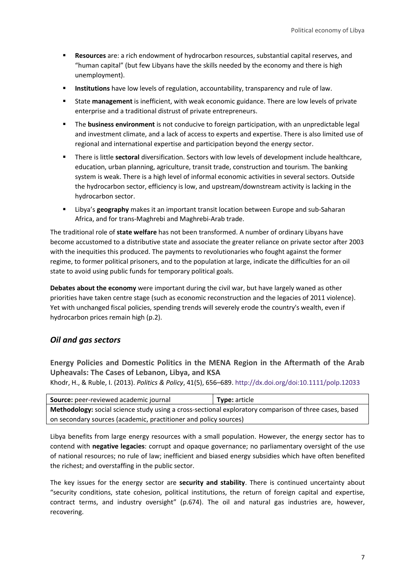- **Resources** are: a rich endowment of hydrocarbon resources, substantial capital reserves, and "human capital" (but few Libyans have the skills needed by the economy and there is high unemployment).
- **Institutions** have low levels of regulation, accountability, transparency and rule of law.
- State **management** is inefficient, with weak economic guidance. There are low levels of private enterprise and a traditional distrust of private entrepreneurs.
- The **business environment** is not conducive to foreign participation, with an unpredictable legal and investment climate, and a lack of access to experts and expertise. There is also limited use of regional and international expertise and participation beyond the energy sector.
- There is little **sectoral** diversification. Sectors with low levels of development include healthcare, education, urban planning, agriculture, transit trade, construction and tourism. The banking system is weak. There is a high level of informal economic activities in several sectors. Outside the hydrocarbon sector, efficiency is low, and upstream/downstream activity is lacking in the hydrocarbon sector.
- Libya's **geography** makes it an important transit location between Europe and sub-Saharan Africa, and for trans-Maghrebi and Maghrebi-Arab trade.

The traditional role of **state welfare** has not been transformed. A number of ordinary Libyans have become accustomed to a distributive state and associate the greater reliance on private sector after 2003 with the inequities this produced. The payments to revolutionaries who fought against the former regime, to former political prisoners, and to the population at large, indicate the difficulties for an oil state to avoid using public funds for temporary political goals.

**Debates about the economy** were important during the civil war, but have largely waned as other priorities have taken centre stage (such as economic reconstruction and the legacies of 2011 violence). Yet with unchanged fiscal policies, spending trends will severely erode the country's wealth, even if hydrocarbon prices remain high (p.2).

### *Oil and gas sectors*

**Energy Policies and Domestic Politics in the MENA Region in the Aftermath of the Arab Upheavals: The Cases of Lebanon, Libya, and KSA**

Khodr, H., & Ruble, I. (2013). *Politics & Policy*, 41(5), 656–689[. http://dx.doi.org/doi:10.1111/polp.12033](http://dx.doi.org/doi:10.1111/polp.12033)

| <b>Source:</b> peer-reviewed academic journal                                                                 | <b>Type:</b> article |
|---------------------------------------------------------------------------------------------------------------|----------------------|
| <b>Methodology:</b> social science study using a cross-sectional exploratory comparison of three cases, based |                      |
| on secondary sources (academic, practitioner and policy sources)                                              |                      |

Libya benefits from large energy resources with a small population. However, the energy sector has to contend with **negative legacies**: corrupt and opaque governance; no parliamentary oversight of the use of national resources; no rule of law; inefficient and biased energy subsidies which have often benefited the richest; and overstaffing in the public sector.

The key issues for the energy sector are **security and stability**. There is continued uncertainty about "security conditions, state cohesion, political institutions, the return of foreign capital and expertise, contract terms, and industry oversight" (p.674). The oil and natural gas industries are, however, recovering.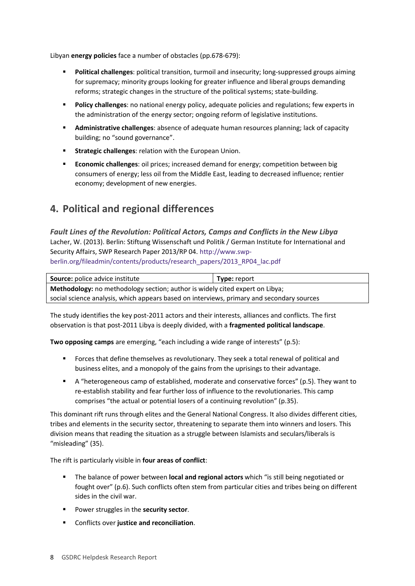Libyan **energy policies** face a number of obstacles (pp.678-679):

- **Political challenges**: political transition, turmoil and insecurity; long-suppressed groups aiming for supremacy; minority groups looking for greater influence and liberal groups demanding reforms; strategic changes in the structure of the political systems; state-building.
- **Policy challenges:** no national energy policy, adequate policies and regulations; few experts in the administration of the energy sector; ongoing reform of legislative institutions.
- **Administrative challenges**: absence of adequate human resources planning; lack of capacity building; no "sound governance".
- **Strategic challenges: relation with the European Union.**
- **Economic challenges**: oil prices; increased demand for energy; competition between big consumers of energy; less oil from the Middle East, leading to decreased influence; rentier economy; development of new energies.

# <span id="page-7-0"></span>**4. Political and regional differences**

*Fault Lines of the Revolution: Political Actors, Camps and Conflicts in the New Libya* Lacher, W. (2013). Berlin: Stiftung Wissenschaft und Politik / German Institute for International and Security Affairs, SWP Research Paper 2013/RP 04[. http://www.swp](http://www.swp-berlin.org/fileadmin/contents/products/research_papers/2013_RP04_lac.pdf)[berlin.org/fileadmin/contents/products/research\\_papers/2013\\_RP04\\_lac.pdf](http://www.swp-berlin.org/fileadmin/contents/products/research_papers/2013_RP04_lac.pdf)

| <b>Source:</b> police advice institute                                                    | <b>Type:</b> report |
|-------------------------------------------------------------------------------------------|---------------------|
| <b>Methodology:</b> no methodology section; author is widely cited expert on Libya;       |                     |
| social science analysis, which appears based on interviews, primary and secondary sources |                     |

The study identifies the key post-2011 actors and their interests, alliances and conflicts. The first observation is that post-2011 Libya is deeply divided, with a **fragmented political landscape**.

**Two opposing camps** are emerging, "each including a wide range of interests" (p.5):

- Forces that define themselves as revolutionary. They seek a total renewal of political and business elites, and a monopoly of the gains from the uprisings to their advantage.
- A "heterogeneous camp of established, moderate and conservative forces" (p.5). They want to re-establish stability and fear further loss of influence to the revolutionaries. This camp comprises "the actual or potential losers of a continuing revolution" (p.35).

This dominant rift runs through elites and the General National Congress. It also divides different cities, tribes and elements in the security sector, threatening to separate them into winners and losers. This division means that reading the situation as a struggle between Islamists and seculars/liberals is "misleading" (35).

The rift is particularly visible in **four areas of conflict**:

- The balance of power between **local and regional actors** which "is still being negotiated or fought over" (p.6). Such conflicts often stem from particular cities and tribes being on different sides in the civil war.
- Power struggles in the **security sector**.
- Conflicts over **justice and reconciliation**.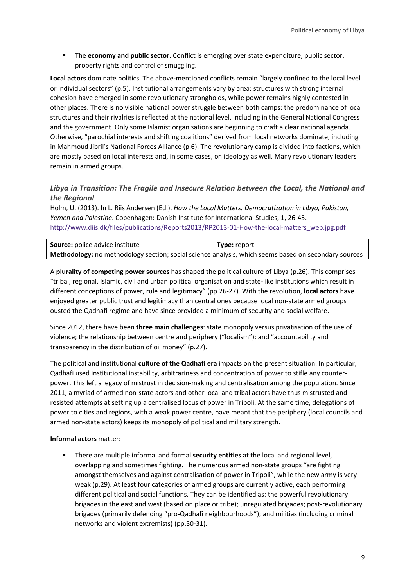**The economy and public sector**. Conflict is emerging over state expenditure, public sector, property rights and control of smuggling.

**Local actors** dominate politics. The above-mentioned conflicts remain "largely confined to the local level or individual sectors" (p.5). Institutional arrangements vary by area: structures with strong internal cohesion have emerged in some revolutionary strongholds, while power remains highly contested in other places. There is no visible national power struggle between both camps: the predominance of local structures and their rivalries is reflected at the national level, including in the General National Congress and the government. Only some Islamist organisations are beginning to craft a clear national agenda. Otherwise, "parochial interests and shifting coalitions" derived from local networks dominate, including in Mahmoud Jibril's National Forces Alliance (p.6). The revolutionary camp is divided into factions, which are mostly based on local interests and, in some cases, on ideology as well. Many revolutionary leaders remain in armed groups.

### *Libya in Transition: The Fragile and Insecure Relation between the Local, the National and the Regional*

Holm, U. (2013). In L. Riis Andersen (Ed.), *How the Local Matters. Democratization in Libya, Pakistan, Yemen and Palestine*. Copenhagen: Danish Institute for International Studies, 1, 26-45. [http://www.diis.dk/files/publications/Reports2013/RP2013-01-How-the-local-matters\\_web.jpg.pdf](http://www.diis.dk/files/publications/Reports2013/RP2013-01-How-the-local-matters_web.jpg.pdf)

| <b>Source:</b> police advice institute                                                               | <b>Type:</b> report |
|------------------------------------------------------------------------------------------------------|---------------------|
| Methodology: no methodology section; social science analysis, which seems based on secondary sources |                     |

A **plurality of competing power sources** has shaped the political culture of Libya (p.26). This comprises "tribal, regional, Islamic, civil and urban political organisation and state-like institutions which result in different conceptions of power, rule and legitimacy" (pp.26-27). With the revolution, **local actors** have enjoyed greater public trust and legitimacy than central ones because local non-state armed groups ousted the Qadhafi regime and have since provided a minimum of security and social welfare.

Since 2012, there have been **three main challenges**: state monopoly versus privatisation of the use of violence; the relationship between centre and periphery ("localism"); and "accountability and transparency in the distribution of oil money" (p.27).

The political and institutional **culture of the Qadhafi era** impacts on the present situation. In particular, Qadhafi used institutional instability, arbitrariness and concentration of power to stifle any counterpower. This left a legacy of mistrust in decision-making and centralisation among the population. Since 2011, a myriad of armed non-state actors and other local and tribal actors have thus mistrusted and resisted attempts at setting up a centralised locus of power in Tripoli. At the same time, delegations of power to cities and regions, with a weak power centre, have meant that the periphery (local councils and armed non-state actors) keeps its monopoly of political and military strength.

**Informal actors** matter:

 There are multiple informal and formal **security entities** at the local and regional level, overlapping and sometimes fighting. The numerous armed non-state groups "are fighting amongst themselves and against centralisation of power in Tripoli", while the new army is very weak (p.29). At least four categories of armed groups are currently active, each performing different political and social functions. They can be identified as: the powerful revolutionary brigades in the east and west (based on place or tribe); unregulated brigades; post-revolutionary brigades (primarily defending "pro-Qadhafi neighbourhoods"); and militias (including criminal networks and violent extremists) (pp.30-31).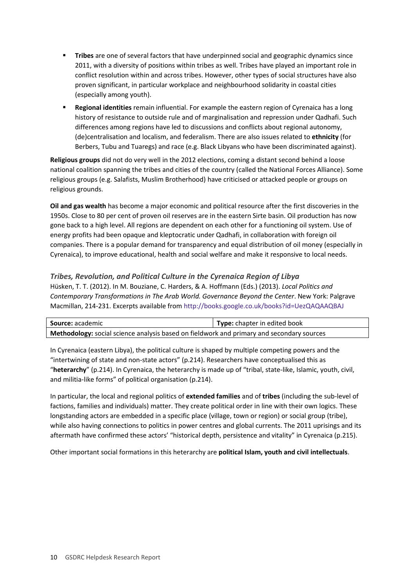- **Tribes** are one of several factors that have underpinned social and geographic dynamics since 2011, with a diversity of positions within tribes as well. Tribes have played an important role in conflict resolution within and across tribes. However, other types of social structures have also proven significant, in particular workplace and neighbourhood solidarity in coastal cities (especially among youth).
- **Regional identities** remain influential. For example the eastern region of Cyrenaica has a long history of resistance to outside rule and of marginalisation and repression under Qadhafi. Such differences among regions have led to discussions and conflicts about regional autonomy, (de)centralisation and localism, and federalism. There are also issues related to **ethnicity** (for Berbers, Tubu and Tuaregs) and race (e.g. Black Libyans who have been discriminated against).

**Religious groups** did not do very well in the 2012 elections, coming a distant second behind a loose national coalition spanning the tribes and cities of the country (called the National Forces Alliance). Some religious groups (e.g. Salafists, Muslim Brotherhood) have criticised or attacked people or groups on religious grounds.

**Oil and gas wealth** has become a major economic and political resource after the first discoveries in the 1950s. Close to 80 per cent of proven oil reserves are in the eastern Sirte basin. Oil production has now gone back to a high level. All regions are dependent on each other for a functioning oil system. Use of energy profits had been opaque and kleptocratic under Qadhafi, in collaboration with foreign oil companies. There is a popular demand for transparency and equal distribution of oil money (especially in Cyrenaica), to improve educational, health and social welfare and make it responsive to local needs.

#### *Tribes, Revolution, and Political Culture in the Cyrenaica Region of Libya*

Hüsken, T. T. (2012). In M. Bouziane, C. Harders, & A. Hoffmann (Eds.) (2013). *Local Politics and Contemporary Transformations in The Arab World. Governance Beyond the Center*. New York: Palgrave Macmillan, 214-231. Excerpts available fro[m http://books.google.co.uk/books?id=UezQAQAAQBAJ](http://books.google.co.uk/books?id=UezQAQAAQBAJ)

| Source: academic                                                                          | Type: chapter in edited book |
|-------------------------------------------------------------------------------------------|------------------------------|
| Methodology: social science analysis based on fieldwork and primary and secondary sources |                              |

In Cyrenaica (eastern Libya), the political culture is shaped by multiple competing powers and the "intertwining of state and non-state actors" (p.214). Researchers have conceptualised this as "**heterarchy**" (p.214). In Cyrenaica, the heterarchy is made up of "tribal, state-like, Islamic, youth, civil, and militia-like forms" of political organisation (p.214).

In particular, the local and regional politics of **extended families** and of **tribes** (including the sub-level of factions, families and individuals) matter. They create political order in line with their own logics. These longstanding actors are embedded in a specific place (village, town or region) or social group (tribe), while also having connections to politics in power centres and global currents. The 2011 uprisings and its aftermath have confirmed these actors' "historical depth, persistence and vitality" in Cyrenaica (p.215).

Other important social formations in this heterarchy are **political Islam, youth and civil intellectuals**.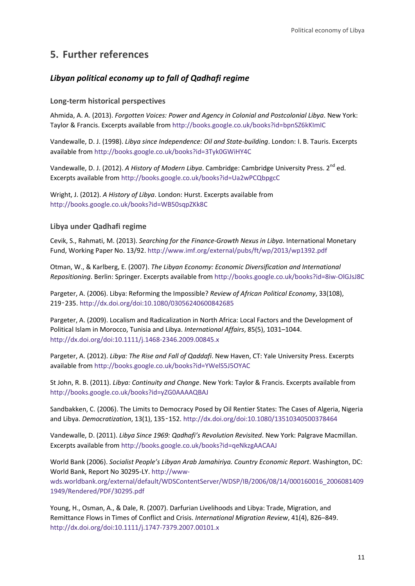# <span id="page-10-0"></span>**5. Further references**

# *Libyan political economy up to fall of Qadhafi regime*

### **Long-term historical perspectives**

Ahmida, A. A. (2013). *Forgotten Voices: Power and Agency in Colonial and Postcolonial Libya*. New York: Taylor & Francis. Excerpts available fro[m http://books.google.co.uk/books?id=bpnSZ6kKImIC](http://books.google.co.uk/books?id=bpnSZ6kKImIC)

Vandewalle, D. J. (1998). *Libya since Independence: Oil and State-building*. London: I. B. Tauris. Excerpts available fro[m http://books.google.co.uk/books?id=3Tyk0GWiHY4C](http://books.google.co.uk/books?id=3Tyk0GWiHY4C)

Vandewalle, D. J. (2012). A History of Modern Libya. Cambridge: Cambridge University Press. 2<sup>nd</sup> ed. Excerpts available from<http://books.google.co.uk/books?id=Ua2wPCQbpgcC>

Wright, J. (2012). *A History of Libya*. London: Hurst. Excerpts available from <http://books.google.co.uk/books?id=WB50sqpZKk8C>

### **Libya under Qadhafi regime**

Cevik, S., Rahmati, M. (2013). *Searching for the Finance-Growth Nexus in Libya*. International Monetary Fund, Working Paper No. 13/92.<http://www.imf.org/external/pubs/ft/wp/2013/wp1392.pdf>

Otman, W., & Karlberg, E. (2007). *The Libyan Economy: Economic Diversification and International Repositioning*. Berlin: Springer. Excerpts available from <http://books.google.co.uk/books?id=8iw-OlGJsJ8C>

Pargeter, A. (2006). Libya: Reforming the Impossible? *Review of African Political Economy*, 33(108), 219‑235.<http://dx.doi.org/doi:10.1080/03056240600842685>

Pargeter, A. (2009). Localism and Radicalization in North Africa: Local Factors and the Development of Political Islam in Morocco, Tunisia and Libya. *International Affairs*, 85(5), 1031–1044. <http://dx.doi.org/doi:10.1111/j.1468-2346.2009.00845.x>

Pargeter, A. (2012). *Libya: The Rise and Fall of Qaddafi*. New Haven, CT: Yale University Press. Excerpts available fro[m http://books.google.co.uk/books?id=YWelS5J5OYAC](http://books.google.co.uk/books?id=YWelS5J5OYAC)

St John, R. B. (2011). *Libya: Continuity and Change*. New York: Taylor & Francis. Excerpts available from <http://books.google.co.uk/books?id=yZG0AAAAQBAJ>

Sandbakken, C. (2006). The Limits to Democracy Posed by Oil Rentier States: The Cases of Algeria, Nigeria and Libya. *Democratization*, 13(1), 135‑152.<http://dx.doi.org/doi:10.1080/13510340500378464>

Vandewalle, D. (2011). *Libya Since 1969: Qadhafi's Revolution Revisited*. New York: Palgrave Macmillan. Excerpts available from<http://books.google.co.uk/books?id=qeNkzgAACAAJ>

World Bank (2006). *Socialist People's Libyan Arab Jamahiriya. Country Economic Report*. Washington, DC: World Bank, Report No 30295-LY[. http://www](http://www-wds.worldbank.org/external/default/WDSContentServer/WDSP/IB/2006/08/14/000160016_20060814091949/Rendered/PDF/30295.pdf)[wds.worldbank.org/external/default/WDSContentServer/WDSP/IB/2006/08/14/000160016\\_2006081409](http://www-wds.worldbank.org/external/default/WDSContentServer/WDSP/IB/2006/08/14/000160016_20060814091949/Rendered/PDF/30295.pdf) [1949/Rendered/PDF/30295.pdf](http://www-wds.worldbank.org/external/default/WDSContentServer/WDSP/IB/2006/08/14/000160016_20060814091949/Rendered/PDF/30295.pdf)

Young, H., Osman, A., & Dale, R. (2007). Darfurian Livelihoods and Libya: Trade, Migration, and Remittance Flows in Times of Conflict and Crisis. *International Migration Review*, 41(4), 826–849. <http://dx.doi.org/doi:10.1111/j.1747-7379.2007.00101.x>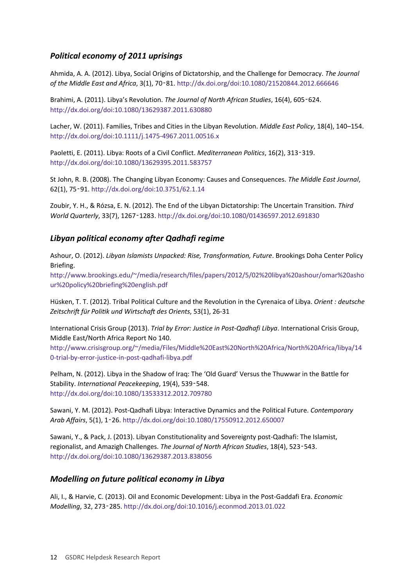### *Political economy of 2011 uprisings*

Ahmida, A. A. (2012). Libya, Social Origins of Dictatorship, and the Challenge for Democracy. *The Journal of the Middle East and Africa*, 3(1), 70‑81.<http://dx.doi.org/doi:10.1080/21520844.2012.666646>

Brahimi, A. (2011). Libya's Revolution. *The Journal of North African Studies*, 16(4), 605‑624. <http://dx.doi.org/doi:10.1080/13629387.2011.630880>

Lacher, W. (2011). Families, Tribes and Cities in the Libyan Revolution. *Middle East Policy*, 18(4), 140–154. <http://dx.doi.org/doi:10.1111/j.1475-4967.2011.00516.x>

Paoletti, E. (2011). Libya: Roots of a Civil Conflict. *Mediterranean Politics*, 16(2), 313‑319. <http://dx.doi.org/doi:10.1080/13629395.2011.583757>

St John, R. B. (2008). The Changing Libyan Economy: Causes and Consequences. *The Middle East Journal*, 62(1), 75‑91.<http://dx.doi.org/doi:10.3751/62.1.14>

Zoubir, Y. H., & Rózsa, E. N. (2012). The End of the Libyan Dictatorship: The Uncertain Transition. *Third World Quarterly*, 33(7), 1267‑1283[. http://dx.doi.org/doi:10.1080/01436597.2012.691830](http://dx.doi.org/doi:10.1080/01436597.2012.691830)

### *Libyan political economy after Qadhafi regime*

Ashour, O. (2012). *Libyan Islamists Unpacked: Rise, Transformation, Future*. Brookings Doha Center Policy Briefing.

[http://www.brookings.edu/~/media/research/files/papers/2012/5/02%20libya%20ashour/omar%20asho](http://www.brookings.edu/~/media/research/files/papers/2012/5/02%20libya%20ashour/omar%20ashour%20policy%20briefing%20english.pdf) [ur%20policy%20briefing%20english.pdf](http://www.brookings.edu/~/media/research/files/papers/2012/5/02%20libya%20ashour/omar%20ashour%20policy%20briefing%20english.pdf)

Hüsken, T. T. (2012). Tribal Political Culture and the Revolution in the Cyrenaica of Libya. *Orient : deutsche* Zeitschrift für Politik und Wirtschaft des Orients, 53(1), 26-31

International Crisis Group (2013). *Trial by Error: Justice in Post-Qadhafi Libya*. International Crisis Group, Middle East/North Africa Report No 140.

[http://www.crisisgroup.org/~/media/Files/Middle%20East%20North%20Africa/North%20Africa/libya/14](http://www.crisisgroup.org/~/media/Files/Middle%20East%20North%20Africa/North%20Africa/libya/140-trial-by-error-justice-in-post-qadhafi-libya.pdf) [0-trial-by-error-justice-in-post-qadhafi-libya.pdf](http://www.crisisgroup.org/~/media/Files/Middle%20East%20North%20Africa/North%20Africa/libya/140-trial-by-error-justice-in-post-qadhafi-libya.pdf)

Pelham, N. (2012). Libya in the Shadow of Iraq: The 'Old Guard' Versus the Thuwwar in the Battle for Stability. *International Peacekeeping*, 19(4), 539‑548. <http://dx.doi.org/doi:10.1080/13533312.2012.709780>

Sawani, Y. M. (2012). Post-Qadhafi Libya: Interactive Dynamics and the Political Future. *Contemporary Arab Affairs*, 5(1), 1‑26.<http://dx.doi.org/doi:10.1080/17550912.2012.650007>

Sawani, Y., & Pack, J. (2013). Libyan Constitutionality and Sovereignty post-Qadhafi: The Islamist, regionalist, and Amazigh Challenges. *The Journal of North African Studies*, 18(4), 523‑543. <http://dx.doi.org/doi:10.1080/13629387.2013.838056>

#### *Modelling on future political economy in Libya*

Ali, I., & Harvie, C. (2013). Oil and Economic Development: Libya in the Post-Gaddafi Era. *Economic Modelling*, 32, 273‑285[. http://dx.doi.org/doi:10.1016/j.econmod.2013.01.022](http://dx.doi.org/doi:10.1016/j.econmod.2013.01.022)